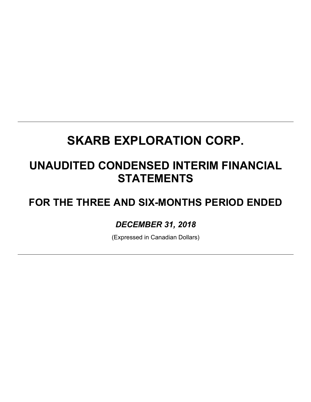## **UNAUDITED CONDENSED INTERIM FINANCIAL STATEMENTS**

## **FOR THE THREE AND SIX-MONTHS PERIOD ENDED**

## *DECEMBER 31, 2018*

(Expressed in Canadian Dollars)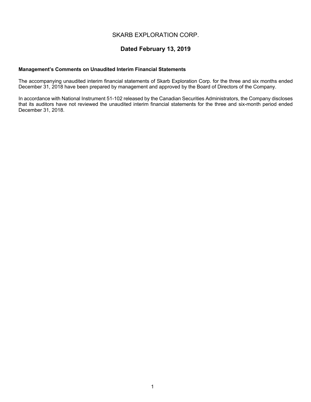## **Dated February 13, 2019**

#### **Management's Comments on Unaudited Interim Financial Statements**

The accompanying unaudited interim financial statements of Skarb Exploration Corp. for the three and six months ended December 31, 2018 have been prepared by management and approved by the Board of Directors of the Company.

In accordance with National Instrument 51-102 released by the Canadian Securities Administrators, the Company discloses that its auditors have not reviewed the unaudited interim financial statements for the three and six-month period ended December 31, 2018.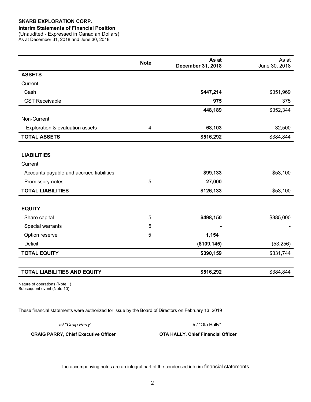#### **Interim Statements of Financial Position**

(Unaudited - Expressed in Canadian Dollars) As at December 31, 2018 and June 30, 2018

|                                          | <b>Note</b> | As at<br><b>December 31, 2018</b> | As at<br>June 30, 2018 |
|------------------------------------------|-------------|-----------------------------------|------------------------|
| <b>ASSETS</b>                            |             |                                   |                        |
| Current                                  |             |                                   |                        |
| Cash                                     |             | \$447,214                         | \$351,969              |
| <b>GST Receivable</b>                    |             | 975                               | 375                    |
|                                          |             | 448,189                           | \$352,344              |
| Non-Current                              |             |                                   |                        |
| Exploration & evaluation assets          | 4           | 68,103                            | 32,500                 |
| <b>TOTAL ASSETS</b>                      |             | \$516,292                         | \$384,844              |
|                                          |             |                                   |                        |
| <b>LIABILITIES</b>                       |             |                                   |                        |
| Current                                  |             |                                   |                        |
| Accounts payable and accrued liabilities |             | \$99,133                          | \$53,100               |
| Promissory notes                         | 5           | 27,000                            |                        |
| <b>TOTAL LIABILITIES</b>                 |             | \$126,133                         | \$53,100               |
|                                          |             |                                   |                        |
| <b>EQUITY</b>                            |             |                                   |                        |
| Share capital                            | 5           | \$498,150                         | \$385,000              |
| Special warrants                         | 5           |                                   |                        |
| Option reserve                           | 5           | 1,154                             |                        |
| Deficit                                  |             | (\$109, 145)                      | (53, 256)              |
| <b>TOTAL EQUITY</b>                      |             | \$390,159                         | \$331,744              |
|                                          |             |                                   |                        |
| <b>TOTAL LIABILITIES AND EQUITY</b>      |             | \$516,292                         | \$384,844              |

Nature of operations (Note 1) Subsequent event (Note 10)

These financial statements were authorized for issue by the Board of Directors on February 13, 2019

/s/ "*Craig Parry*" /s/ "Ota Hally"

**CRAIG PARRY, Chief Executive Officer OTA HALLY, Chief Financial Officer**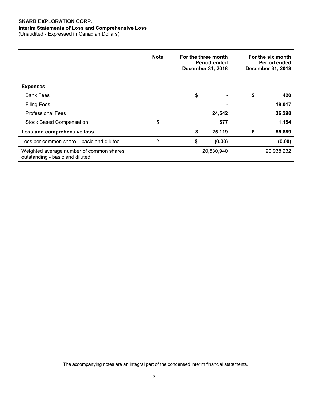### **Interim Statements of Loss and Comprehensive Loss**

(Unaudited - Expressed in Canadian Dollars)

|                                                                             | <b>Note</b> | For the three month<br><b>Period ended</b><br><b>December 31, 2018</b> |            | For the six month<br><b>Period ended</b><br>December 31, 2018 |            |
|-----------------------------------------------------------------------------|-------------|------------------------------------------------------------------------|------------|---------------------------------------------------------------|------------|
|                                                                             |             |                                                                        |            |                                                               |            |
| <b>Expenses</b>                                                             |             |                                                                        |            |                                                               |            |
| <b>Bank Fees</b>                                                            |             | \$                                                                     |            | \$                                                            | 420        |
| <b>Filing Fees</b>                                                          |             |                                                                        |            |                                                               | 18,017     |
| <b>Professional Fees</b>                                                    |             |                                                                        | 24,542     |                                                               | 36,298     |
| <b>Stock Based Compensation</b>                                             | 5           |                                                                        | 577        |                                                               | 1,154      |
| Loss and comprehensive loss                                                 |             | \$                                                                     | 25,119     | \$                                                            | 55,889     |
| Loss per common share - basic and diluted                                   | 2           | \$                                                                     | (0.00)     |                                                               | (0.00)     |
| Weighted average number of common shares<br>outstanding - basic and diluted |             |                                                                        | 20,530,940 |                                                               | 20,938,232 |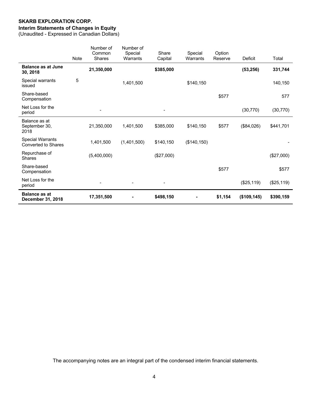## **Interim Statements of Changes in Equity**

(Unaudited - Expressed in Canadian Dollars)

|                                                       | <b>Note</b> | Number of<br>Common<br><b>Shares</b> | Number of<br>Special<br>Warrants | Share<br>Capital             | Special<br>Warrants | Option<br>Reserve | <b>Deficit</b> | Total      |
|-------------------------------------------------------|-------------|--------------------------------------|----------------------------------|------------------------------|---------------------|-------------------|----------------|------------|
| <b>Balance as at June</b><br>30, 2018                 |             | 21,350,000                           |                                  | \$385,000                    |                     |                   | (53, 256)      | 331,744    |
| Special warrants<br>issued                            | 5           |                                      | 1,401,500                        |                              | \$140,150           |                   |                | 140,150    |
| Share-based<br>Compensation                           |             |                                      |                                  |                              |                     | \$577             |                | 577        |
| Net Loss for the<br>period                            |             |                                      |                                  | $\qquad \qquad \blacksquare$ |                     |                   | (30, 770)      | (30, 770)  |
| Balance as at<br>September 30,<br>2018                |             | 21,350,000                           | 1,401,500                        | \$385,000                    | \$140,150           | \$577             | (\$84,026)     | \$441,701  |
| <b>Special Warrants</b><br><b>Converted to Shares</b> |             | 1,401,500                            | (1,401,500)                      | \$140,150                    | (\$140, 150)        |                   |                |            |
| Repurchase of<br><b>Shares</b>                        |             | (5,400,000)                          |                                  | (\$27,000)                   |                     |                   |                | (\$27,000) |
| Share-based<br>Compensation                           |             |                                      |                                  |                              |                     | \$577             |                | \$577      |
| Net Loss for the<br>period                            |             |                                      |                                  |                              |                     |                   | (\$25,119)     | (\$25,119) |
| <b>Balance as at</b><br><b>December 31, 2018</b>      |             | 17,351,500                           |                                  | \$498,150                    |                     | \$1,154           | (\$109, 145)   | \$390,159  |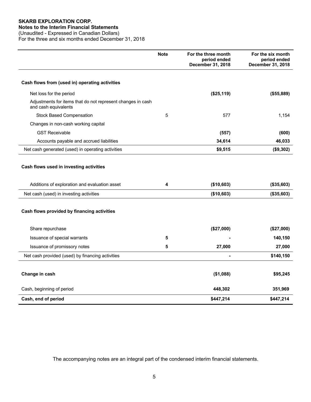#### **Notes to the Interim Financial Statements**

(Unaudited - Expressed in Canadian Dollars) For the three and six months ended December 31, 2018

|                                                                                          | <b>Note</b> | For the three month<br>period ended<br>December 31, 2018 | For the six month<br>period ended<br>December 31, 2018 |
|------------------------------------------------------------------------------------------|-------------|----------------------------------------------------------|--------------------------------------------------------|
| Cash flows from (used in) operating activities                                           |             |                                                          |                                                        |
| Net loss for the period                                                                  |             | (\$25,119)                                               | (\$55,889)                                             |
| Adjustments for items that do not represent changes in cash<br>and cash equivalents      |             |                                                          |                                                        |
| <b>Stock Based Compensation</b>                                                          | 5           | 577                                                      | 1,154                                                  |
| Changes in non-cash working capital                                                      |             |                                                          |                                                        |
| <b>GST Receivable</b>                                                                    |             | (557)                                                    | (600)                                                  |
| Accounts payable and accrued liabilities                                                 |             | 34,614                                                   | 46,033                                                 |
| Net cash generated (used) in operating activities                                        |             | \$9,515                                                  | (\$9,302)                                              |
| Cash flows used in investing activities<br>Additions of exploration and evaluation asset | 4           | (\$10,603)                                               | (\$35,603)                                             |
| Net cash (used) in investing activities                                                  |             | (\$10,603)                                               | (\$35,603)                                             |
| Cash flows provided by financing activities                                              |             |                                                          |                                                        |
| Share repurchase                                                                         |             | (\$27,000)                                               | (\$27,000)                                             |
| Issuance of special warrants                                                             | 5           |                                                          | 140,150                                                |
| Issuance of promissory notes                                                             | 5           | 27,000                                                   | 27,000                                                 |
| Net cash provided (used) by financing activities                                         |             |                                                          | \$140,150                                              |
| Change in cash                                                                           |             | (\$1,088)                                                | \$95,245                                               |
| Cash, beginning of period                                                                |             | 448,302                                                  | 351,969                                                |
| Cash, end of period                                                                      |             | \$447,214                                                | \$447,214                                              |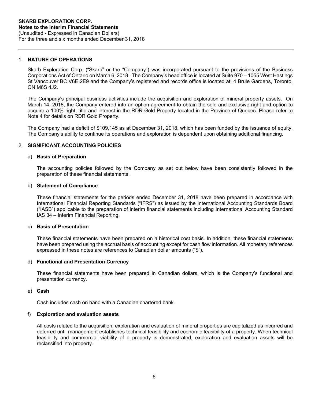#### 1. **NATURE OF OPERATIONS**

Skarb Exploration Corp. ("Skarb" or the "Company") was incorporated pursuant to the provisions of the Business Corporations Act of Ontario on March 6, 2018. The Company's head office is located at Suite 970 – 1055 West Hastings St Vancouver BC V6E 2E9 and the Company's registered and records office is located at: 4 Brule Gardens, Toronto, ON M6S 4J2.

The Company's principal business activities include the acquisition and exploration of mineral property assets. On March 14, 2018, the Company entered into an option agreement to obtain the sole and exclusive right and option to acquire a 100% right, title and interest in the RDR Gold Property located in the Province of Quebec. Please refer to Note 4 for details on RDR Gold Property.

The Company had a deficit of \$109,145 as at December 31, 2018, which has been funded by the issuance of equity. The Company's ability to continue its operations and exploration is dependent upon obtaining additional financing.

#### 2. **SIGNIFICANT ACCOUNTING POLICIES**

#### a) **Basis of Preparation**

The accounting policies followed by the Company as set out below have been consistently followed in the preparation of these financial statements.

#### b) **Statement of Compliance**

These financial statements for the periods ended December 31, 2018 have been prepared in accordance with International Financial Reporting Standards ("IFRS") as issued by the International Accounting Standards Board ("IASB") applicable to the preparation of interim financial statements including International Accounting Standard IAS 34 – Interim Financial Reporting.

#### c) **Basis of Presentation**

These financial statements have been prepared on a historical cost basis. In addition, these financial statements have been prepared using the accrual basis of accounting except for cash flow information. All monetary references expressed in these notes are references to Canadian dollar amounts ("\$").

#### d) **Functional and Presentation Currency**

These financial statements have been prepared in Canadian dollars, which is the Company's functional and presentation currency.

#### e) **Cash**

Cash includes cash on hand with a Canadian chartered bank.

#### f) **Exploration and evaluation assets**

All costs related to the acquisition, exploration and evaluation of mineral properties are capitalized as incurred and deferred until management establishes technical feasibility and economic feasibility of a property. When technical feasibility and commercial viability of a property is demonstrated, exploration and evaluation assets will be reclassified into property.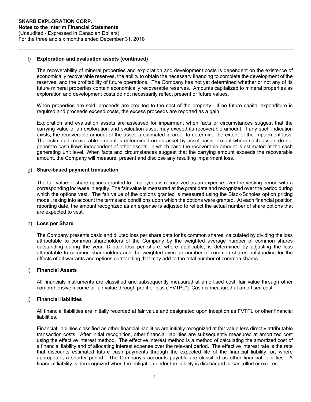#### f) **Exploration and evaluation assets (continued)**

The recoverability of mineral properties and exploration and development costs is dependent on the existence of economically recoverable reserves, the ability to obtain the necessary financing to complete the development of the reserves, and the profitability of future operations. The Company has not yet determined whether or not any of its future mineral properties contain economically recoverable reserves. Amounts capitalized to mineral properties as exploration and development costs do not necessarily reflect present or future values.

When properties are sold, proceeds are credited to the cost of the property. If no future capital expenditure is required and proceeds exceed costs, the excess proceeds are reported as a gain.

Exploration and evaluation assets are assessed for impairment when facts or circumstances suggest that the carrying value of an exploration and evaluation asset may exceed its recoverable amount. If any such indication exists, the recoverable amount of the asset is estimated in order to determine the extent of the impairment loss. The estimated recoverable amount is determined on an asset by asset basis, except where such assets do not generate cash flows independent of other assets, in which case the recoverable amount is estimated at the cash generating unit level. When facts and circumstances suggest that the carrying amount exceeds the recoverable amount, the Company will measure, present and disclose any resulting impairment loss.

#### g) **Share-based payment transaction**

The fair value of share options granted to employees is recognized as an expense over the vesting period with a corresponding increase in equity. The fair value is measured at the grant date and recognized over the period during which the options vest. The fair value of the options granted is measured using the Black-Scholes option pricing model, taking into account the terms and conditions upon which the options were granted. At each financial position reporting date, the amount recognized as an expense is adjusted to reflect the actual number of share options that are expected to vest.

#### h) **Loss per Share**

The Company presents basic and diluted loss per share data for its common shares, calculated by dividing the loss attributable to common shareholders of the Company by the weighted average number of common shares outstanding during the year. Diluted loss per share, where applicable, is determined by adjusting the loss attributable to common shareholders and the weighted average number of common shares outstanding for the effects of all warrants and options outstanding that may add to the total number of common shares.

#### i) **Financial Assets**

All financials instruments are classified and subsequently measured at amortised cost, fair value through other comprehensive income or fair value through profit or loss ("FVTPL"). Cash is measured at amortised cost.

#### j) **Financial liabilities**

All financial liabilities are initially recorded at fair value and designated upon inception as FVTPL or other financial liabilities.

Financial liabilities classified as other financial liabilities are initially recognized at fair value less directly attributable transaction costs. After initial recognition, other financial liabilities are subsequently measured at amortized cost using the effective interest method. The effective interest method is a method of calculating the amortized cost of a financial liability and of allocating interest expense over the relevant period. The effective interest rate is the rate that discounts estimated future cash payments through the expected life of the financial liability, or, where appropriate, a shorter period. The Company's accounts payable are classified as other financial liabilities. A financial liability is derecognized when the obligation under the liability is discharged or cancelled or expires.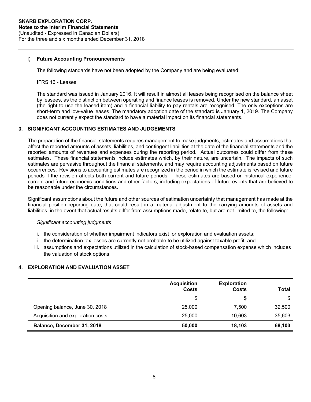#### l) **Future Accounting Pronouncements**

The following standards have not been adopted by the Company and are being evaluated:

#### IFRS 16 - Leases

The standard was issued in January 2016. It will result in almost all leases being recognised on the balance sheet by lessees, as the distinction between operating and finance leases is removed. Under the new standard, an asset (the right to use the leased item) and a financial liability to pay rentals are recognised. The only exceptions are short-term and low-value leases. The mandatory adoption date of the standard is January 1, 2019. The Company does not currently expect the standard to have a material impact on its financial statements.

#### **3. SIGNIFICANT ACCOUNTING ESTIMATES AND JUDGEMENTS**

The preparation of the financial statements requires management to make judgments, estimates and assumptions that affect the reported amounts of assets, liabilities, and contingent liabilities at the date of the financial statements and the reported amounts of revenues and expenses during the reporting period. Actual outcomes could differ from these estimates. These financial statements include estimates which, by their nature, are uncertain. The impacts of such estimates are pervasive throughout the financial statements, and may require accounting adjustments based on future occurrences. Revisions to accounting estimates are recognized in the period in which the estimate is revised and future periods if the revision affects both current and future periods. These estimates are based on historical experience, current and future economic conditions and other factors, including expectations of future events that are believed to be reasonable under the circumstances.

Significant assumptions about the future and other sources of estimation uncertainty that management has made at the financial position reporting date, that could result in a material adjustment to the carrying amounts of assets and liabilities, in the event that actual results differ from assumptions made, relate to, but are not limited to, the following:

#### *Significant accounting judgments*

- i. the consideration of whether impairment indicators exist for exploration and evaluation assets;
- ii. the determination tax losses are currently not probable to be utilized against taxable profit; and
- iii. assumptions and expectations utilized in the calculation of stock-based compensation expense which includes the valuation of stock options.

### **4. EXPLORATION AND EVALUATION ASSET**

|                                   | <b>Acquisition</b><br>Costs | <b>Exploration</b><br><b>Costs</b> | Total  |
|-----------------------------------|-----------------------------|------------------------------------|--------|
|                                   | \$                          | S                                  | \$     |
| Opening balance, June 30, 2018    | 25,000                      | 7.500                              | 32,500 |
| Acquisition and exploration costs | 25,000                      | 10.603                             | 35,603 |
| Balance, December 31, 2018        | 50,000                      | 18.103                             | 68,103 |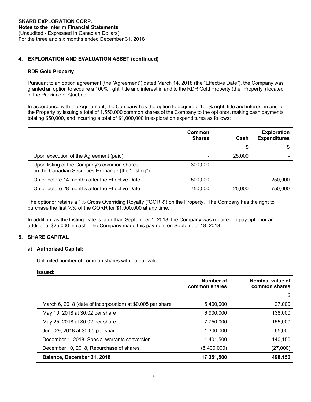### **4. EXPLORATION AND EVALUATION ASSET (continued)**

#### **RDR Gold Property**

Pursuant to an option agreement (the "Agreement") dated March 14, 2018 (the "Effective Date"), the Company was granted an option to acquire a 100% right, title and interest in and to the RDR Gold Property (the "Property") located in the Province of Quebec.

In accordance with the Agreement, the Company has the option to acquire a 100% right, title and interest in and to the Property by issuing a total of 1,550,000 common shares of the Company to the optionor, making cash payments totaling \$50,000, and incurring a total of \$1,000,000 in exploration expenditures as follows:

|                                                                                                    | Common<br><b>Shares</b> | Cash   | <b>Exploration</b><br><b>Expenditures</b> |
|----------------------------------------------------------------------------------------------------|-------------------------|--------|-------------------------------------------|
|                                                                                                    |                         | S      | S                                         |
| Upon execution of the Agreement (paid)                                                             |                         | 25,000 |                                           |
| Upon listing of the Company's common shares<br>on the Canadian Securities Exchange (the "Listing") | 300,000                 |        |                                           |
| On or before 14 months after the Effective Date                                                    | 500,000                 |        | 250,000                                   |
| On or before 28 months after the Effective Date                                                    | 750.000                 | 25,000 | 750.000                                   |

The optionor retains a 1% Gross Overriding Royalty ("GORR") on the Property. The Company has the right to purchase the first ½% of the GORR for \$1,000,000 at any time.

In addition, as the Listing Date is later than September 1, 2018, the Company was required to pay optionor an additional \$25,000 in cash. The Company made this payment on September 18, 2018.

### **5. SHARE CAPITAL**

#### a) **Authorized Capital:**

Unlimited number of common shares with no par value.

#### **Issued:**

|                                                            | Number of<br>common shares | Nominal value of<br>common shares |
|------------------------------------------------------------|----------------------------|-----------------------------------|
|                                                            |                            | \$                                |
| March 6, 2018 (date of incorporation) at \$0.005 per share | 5,400,000                  | 27,000                            |
| May 10, 2018 at \$0.02 per share                           | 6.900.000                  | 138,000                           |
| May 25, 2018 at \$0.02 per share                           | 7,750,000                  | 155,000                           |
| June 29, 2018 at \$0.05 per share                          | 1.300.000                  | 65,000                            |
| December 1, 2018, Special warrants conversion              | 1.401.500                  | 140.150                           |
| December 10, 2018, Repurchase of shares                    | (5,400,000)                | (27,000)                          |
| Balance, December 31, 2018                                 | 17,351,500                 | 498,150                           |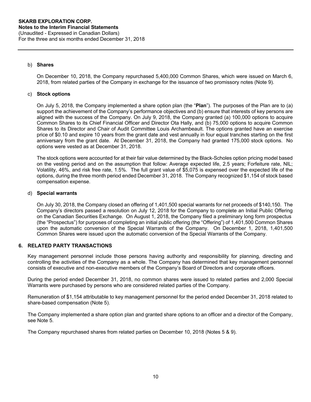#### b) **Shares**

On December 10, 2018, the Company repurchased 5,400,000 Common Shares, which were issued on March 6, 2018, from related parties of the Company in exchange for the issuance of two promissory notes (Note 9).

#### c) **Stock options**

On July 5, 2018, the Company implemented a share option plan (the "**Plan**"). The purposes of the Plan are to (a) support the achievement of the Company's performance objectives and (b) ensure that interests of key persons are aligned with the success of the Company. On July 9, 2018, the Company granted (a) 100,000 options to acquire Common Shares to its Chief Financial Officer and Director Ota Hally, and (b) 75,000 options to acquire Common Shares to its Director and Chair of Audit Committee Louis Archambeault. The options granted have an exercise price of \$0.10 and expire 10 years from the grant date and vest annually in four equal tranches starting on the first anniversary from the grant date. At December 31, 2018, the Company had granted 175,000 stock options. No options were vested as at December 31, 2018.

The stock options were accounted for at their fair value determined by the Black-Scholes option pricing model based on the vesting period and on the assumption that follow: Average expected life, 2.5 years; Forfeiture rate, NIL; Volatility, 46%, and risk free rate, 1.5%. The full grant value of \$5,075 is expensed over the expected life of the options, during the three month period ended December 31, 2018. The Company recognized \$1,154 of stock based compensation expense.

#### d) **Special warrants**

On July 30, 2018, the Company closed an offering of 1,401,500 special warrants for net proceeds of \$140,150. The Company's directors passed a resolution on July 12, 2018 for the Company to complete an Initial Public Offering on the Canadian Securities Exchange. On August 1, 2018, the Company filed a preliminary long form prospectus (the "Prospectus") for purposes of completing an initial public offering (the "Offering") of 1,401,500 Common Shares upon the automatic conversion of the Special Warrants of the Company. On December 1, 2018, 1,401,500 Common Shares were issued upon the automatic conversion of the Special Warrants of the Company.

#### **6. RELATED PARTY TRANSACTIONS**

Key management personnel include those persons having authority and responsibility for planning, directing and controlling the activities of the Company as a whole. The Company has determined that key management personnel consists of executive and non-executive members of the Company's Board of Directors and corporate officers.

During the period ended December 31, 2018, no common shares were issued to related parties and 2,000 Special Warrants were purchased by persons who are considered related parties of the Company.

Remuneration of \$1,154 attributable to key management personnel for the period ended December 31, 2018 related to share-based compensation (Note 5).

The Company implemented a share option plan and granted share options to an officer and a director of the Company, see Note 5.

The Company repurchased shares from related parties on December 10, 2018 (Notes 5 & 9).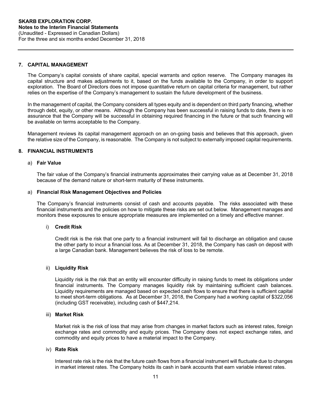#### **7. CAPITAL MANAGEMENT**

The Company's capital consists of share capital, special warrants and option reserve. The Company manages its capital structure and makes adjustments to it, based on the funds available to the Company, in order to support exploration. The Board of Directors does not impose quantitative return on capital criteria for management, but rather relies on the expertise of the Company's management to sustain the future development of the business.

In the management of capital, the Company considers all types equity and is dependent on third party financing, whether through debt, equity, or other means. Although the Company has been successful in raising funds to date, there is no assurance that the Company will be successful in obtaining required financing in the future or that such financing will be available on terms acceptable to the Company.

Management reviews its capital management approach on an on-going basis and believes that this approach, given the relative size of the Company, is reasonable. The Company is not subject to externally imposed capital requirements.

#### **8. FINANCIAL INSTRUMENTS**

#### a) **Fair Value**

The fair value of the Company's financial instruments approximates their carrying value as at December 31, 2018 because of the demand nature or short-term maturity of these instruments.

#### a) **Financial Risk Management Objectives and Policies**

The Company's financial instruments consist of cash and accounts payable. The risks associated with these financial instruments and the policies on how to mitigate these risks are set out below. Management manages and monitors these exposures to ensure appropriate measures are implemented on a timely and effective manner.

#### i) **Credit Risk**

Credit risk is the risk that one party to a financial instrument will fail to discharge an obligation and cause the other party to incur a financial loss. As at December 31, 2018, the Company has cash on deposit with a large Canadian bank. Management believes the risk of loss to be remote.

#### ii) **Liquidity Risk**

Liquidity risk is the risk that an entity will encounter difficulty in raising funds to meet its obligations under financial instruments. The Company manages liquidity risk by maintaining sufficient cash balances. Liquidity requirements are managed based on expected cash flows to ensure that there is sufficient capital to meet short-term obligations. As at December 31, 2018, the Company had a working capital of \$322,056 (including GST receivable), including cash of \$447,214.

#### iii) **Market Risk**

Market risk is the risk of loss that may arise from changes in market factors such as interest rates, foreign exchange rates and commodity and equity prices. The Company does not expect exchange rates, and commodity and equity prices to have a material impact to the Company.

#### iv) **Rate Risk**

Interest rate risk is the risk that the future cash flows from a financial instrument will fluctuate due to changes in market interest rates. The Company holds its cash in bank accounts that earn variable interest rates.